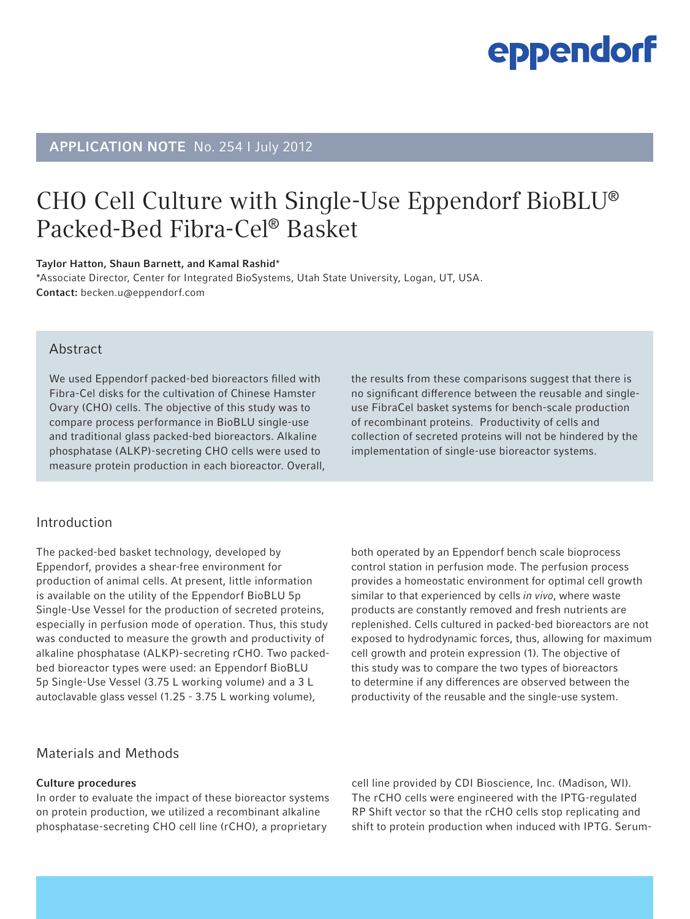# APPLICATION NOTE No. 254 I July 2012

# CHO Cell Culture with Single-Use Eppendorf BioBLU® Packed-Bed Fibra-Cel® Basket

#### Taylor Hatton, Shaun Barnett, and Kamal Rashid\*

\*Associate Director, Center for Integrated BioSystems, Utah State University, Logan, UT, USA. Contact: becken.u@eppendorf.com

## Abstract

We used Eppendorf packed-bed bioreactors filled with Fibra-Cel disks for the cultivation of Chinese Hamster Ovary (CHO) cells. The objective of this study was to compare process performance in BioBLU single-use and traditional glass packed-bed bioreactors. Alkaline phosphatase (ALKP)-secreting CHO cells were used to measure protein production in each bioreactor. Overall,

# Introduction

The packed-bed basket technology, developed by Eppendorf, provides a shear-free environment for production of animal cells. At present, little information is available on the utility of the Eppendorf BioBLU 5p Single-Use Vessel for the production of secreted proteins, especially in perfusion mode of operation. Thus, this study was conducted to measure the growth and productivity of alkaline phosphatase (ALKP)-secreting rCHO. Two packedbed bioreactor types were used: an Eppendorf BioBLU 5p Single-Use Vessel (3.75 L working volume) and a 3 L autoclavable glass vessel (1.25 - 3.75 L working volume),

the results from these comparisons suggest that there is no significant difference between the reusable and singleuse FibraCel basket systems for bench-scale production of recombinant proteins. Productivity of cells and collection of secreted proteins will not be hindered by the implementation of single-use bioreactor systems.

both operated by an Eppendorf bench scale bioprocess control station in perfusion mode. The perfusion process provides a homeostatic environment for optimal cell growth similar to that experienced by cells *in vivo*, where waste products are constantly removed and fresh nutrients are replenished. Cells cultured in packed-bed bioreactors are not exposed to hydrodynamic forces, thus, allowing for maximum cell growth and protein expression (1). The objective of this study was to compare the two types of bioreactors to determine if any differences are observed between the productivity of the reusable and the single-use system.

### Materials and Methods

#### Culture procedures

In order to evaluate the impact of these bioreactor systems on protein production, we utilized a recombinant alkaline phosphatase-secreting CHO cell line (rCHO), a proprietary cell line provided by CDI Bioscience, Inc. (Madison, WI). The rCHO cells were engineered with the IPTG-regulated RP Shift vector so that the rCHO cells stop replicating and shift to protein production when induced with IPTG. Serum-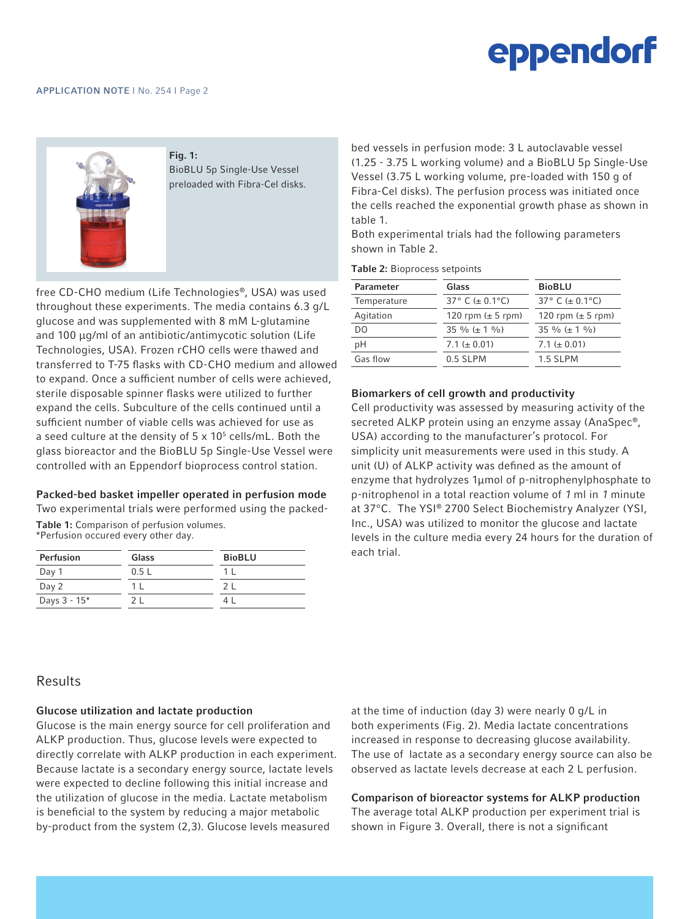

Fig. 1: BioBLU 5p Single-Use Vessel preloaded with Fibra-Cel disks.

free CD-CHO medium (Life Technologies®, USA) was used throughout these experiments. The media contains 6.3 g/L glucose and was supplemented with 8 mM L-glutamine and 100 µg/ml of an antibiotic/antimycotic solution (Life Technologies, USA). Frozen rCHO cells were thawed and transferred to T-75 flasks with CD-CHO medium and allowed to expand. Once a sufficient number of cells were achieved, sterile disposable spinner flasks were utilized to further expand the cells. Subculture of the cells continued until a sufficient number of viable cells was achieved for use as a seed culture at the density of  $5 \times 10^5$  cells/mL. Both the glass bioreactor and the BioBLU 5p Single-Use Vessel were controlled with an Eppendorf bioprocess control station.

#### Packed-bed basket impeller operated in perfusion mode

Two experimental trials were performed using the packed-Table 1: Comparison of perfusion volumes. \*Perfusion occured every other day.

| Perfusion    | Glass | <b>BioBLU</b> |
|--------------|-------|---------------|
| Day 1        | 0.5L  |               |
| Day 2        |       |               |
| Days 3 - 15* |       |               |

bed vessels in perfusion mode: 3 L autoclavable vessel (1.25 - 3.75 L working volume) and a BioBLU 5p Single-Use Vessel (3.75 L working volume, pre-loaded with 150 g of Fibra-Cel disks). The perfusion process was initiated once the cells reached the exponential growth phase as shown in table 1.

Both experimental trials had the following parameters shown in Table 2.

Table 2: Bioprocess setpoints

| Parameter   | Glass                 | <b>BioBLU</b>         |
|-------------|-----------------------|-----------------------|
| Temperature | 37° C ( $\pm$ 0.1°C)  | 37° C ( $\pm$ 0.1°C)  |
| Agitation   | 120 rpm $(\pm 5$ rpm) | 120 rpm $(\pm 5$ rpm) |
| DO          | 35 % ( $\pm$ 1 %)     | 35 % ( $\pm$ 1 %)     |
| рH          | 7.1 ( $\pm$ 0.01)     | 7.1 ( $\pm$ 0.01)     |
| Gas flow    | 0.5 SLPM              | 1.5 SLPM              |
|             |                       |                       |

#### Biomarkers of cell growth and productivity

Cell productivity was assessed by measuring activity of the secreted ALKP protein using an enzyme assay (AnaSpec®, USA) according to the manufacturer's protocol. For simplicity unit measurements were used in this study. A unit (U) of ALKP activity was defined as the amount of enzyme that hydrolyzes 1µmol of p-nitrophenylphosphate to p-nitrophenol in a total reaction volume of 1 ml in 1 minute at 37°C. The YSI® 2700 Select Biochemistry Analyzer (YSI, Inc., USA) was utilized to monitor the glucose and lactate levels in the culture media every 24 hours for the duration of each trial.

## Results

#### Glucose utilization and lactate production

Glucose is the main energy source for cell proliferation and ALKP production. Thus, glucose levels were expected to directly correlate with ALKP production in each experiment. Because lactate is a secondary energy source, lactate levels were expected to decline following this initial increase and the utilization of glucose in the media. Lactate metabolism is beneficial to the system by reducing a major metabolic by-product from the system (2,3). Glucose levels measured

at the time of induction (day 3) were nearly 0 g/L in both experiments (Fig. 2). Media lactate concentrations increased in response to decreasing glucose availability. The use of lactate as a secondary energy source can also be observed as lactate levels decrease at each 2 L perfusion.

#### Comparison of bioreactor systems for ALKP production

The average total ALKP production per experiment trial is shown in Figure 3. Overall, there is not a significant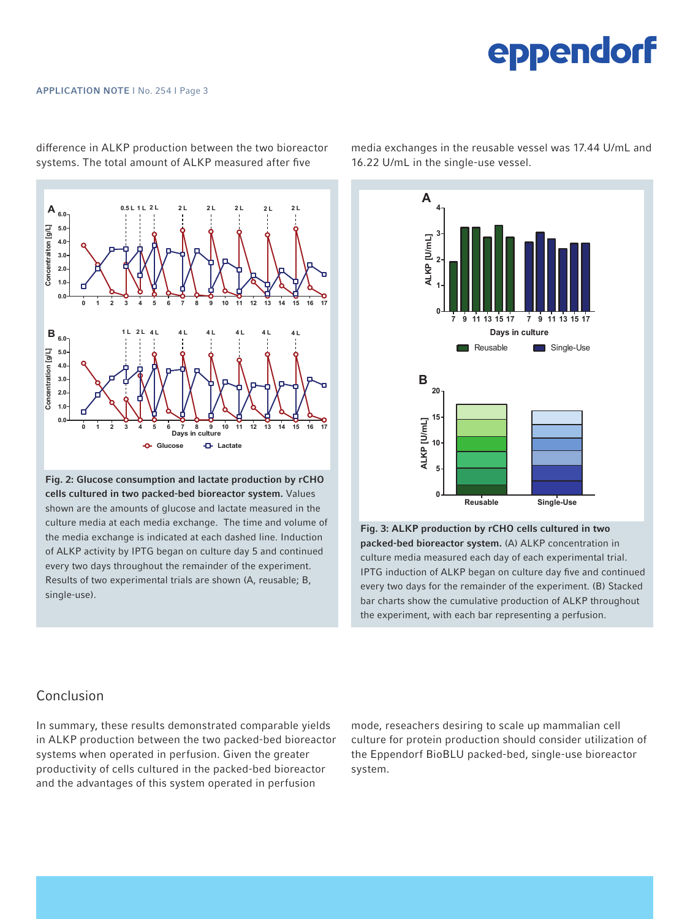

difference in ALKP production between the two bioreactor systems. The total amount of ALKP measured after five

experiments of the experimental of the experimental trials of the experimental trials are shown (A, reusable; B, reusable; B, reusable; B, reusable; B, single-**Fig. 2: Glucose consumption and lactate production by rCHO biolee and in two packed-bed bioreactor system.** Values  $\alpha$  at each media exchange. The time and volume of the media exchange is indicated at each dashed line. shown are the amounts of glucose and lactate measured in the the media exchange is indicated at each dashed line. Induction of ALKP activity by IPTG began on culture day 5 and continued every two days throughout the remainder of the experiment. Results of two experimental trials are shown (A, reusable; B, single-use).

*Comparison of bioreactor systems for ALKP production* 16.22 U/mL in the single-use vessel. media exchanges in the reusable vessel was 17.44 U/mL and



the experiment, with each bar representing a perfusion. Figure 2. *ALC* production by reserve the conservation in two packed-bed biomeactor system. (A) ALKB concentration in  $\begin{array}{ll}\n \cdot & \text{packet} \\
\text{backed-beta} & \text{bareactor system.} \\
\text{(A) ALKP concentration in} \\
\end{array}$  $\alpha$  culture media measured each day of each experimental trial. IPTG induction of ALKP began on culture day five and continued every two days for the remainder of the experiment. (B) Stacked Fig. 3: ALKP production by rCHO cells cultured in two bar charts show the cumulative production of ALKP throughout

### Conclusion

In summary, these results demonstrated comparable yields in ALKP production between the two packed-bed bioreactor systems when operated in perfusion. Given the greater productivity of cells cultured in the packed-bed bioreactor and the advantages of this system operated in perfusion

ds mode, reseachers desiring to scale up mammalian cell ctor — culture for protein production should consider utilization of the Eppendorf BioBLU packed-bed, single-use bioreactor system.